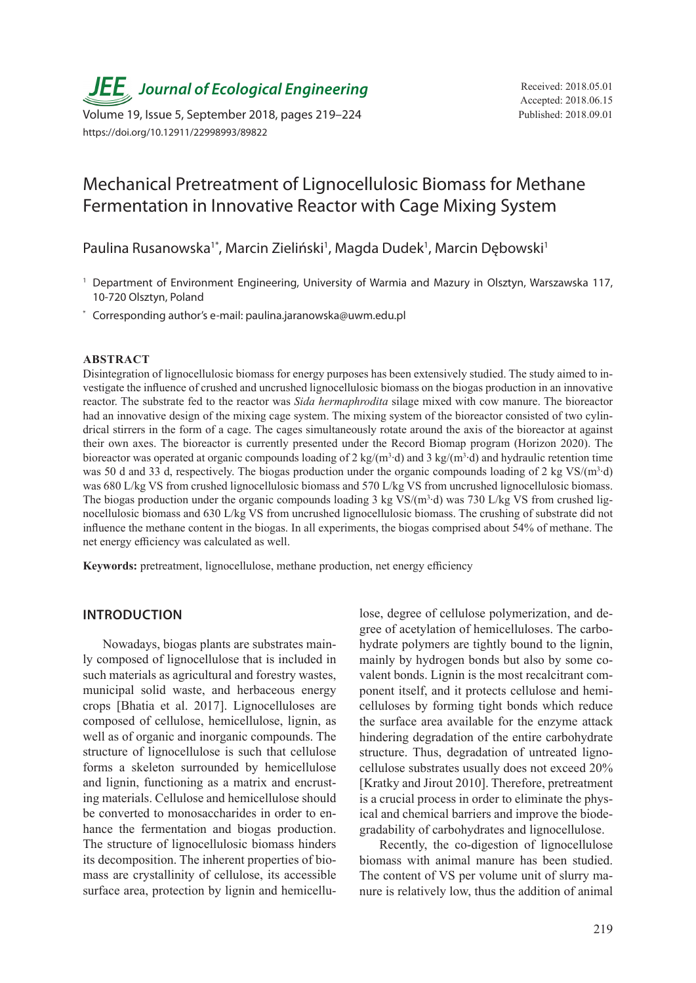*JEE*<sub>,</sub> Journal of Ecological Engineering Received: 2018.05.01

Volume 19, Issue 5, September 2018, pages 219–224 Published: 2018.09.01 https://doi.org/10.12911/22998993/89822

# Mechanical Pretreatment of Lignocellulosic Biomass for Methane Fermentation in Innovative Reactor with Cage Mixing System

Paulina Rusanowska<sup>1\*</sup>, Marcin Zieliński<sup>1</sup>, Magda Dudek<sup>1</sup>, Marcin Dębowski<sup>1</sup>

- <sup>1</sup> Department of Environment Engineering, University of Warmia and Mazury in Olsztyn, Warszawska 117, 10-720 Olsztyn, Poland
- \* Corresponding author's e-mail: paulina.jaranowska@uwm.edu.pl

#### **ABSTRACT**

Disintegration of lignocellulosic biomass for energy purposes has been extensively studied. The study aimed to investigate the influence of crushed and uncrushed lignocellulosic biomass on the biogas production in an innovative reactor. The substrate fed to the reactor was *Sida hermaphrodita* silage mixed with cow manure. The bioreactor had an innovative design of the mixing cage system. The mixing system of the bioreactor consisted of two cylindrical stirrers in the form of a cage. The cages simultaneously rotate around the axis of the bioreactor at against their own axes. The bioreactor is currently presented under the Record Biomap program (Horizon 2020). The bioreactor was operated at organic compounds loading of 2 kg/(m<sup>3</sup>⋅d) and 3 kg/(m<sup>3</sup>⋅d) and hydraulic retention time was 50 d and 33 d, respectively. The biogas production under the organic compounds loading of 2 kg VS/(m<sup>3</sup>·d) was 680 L/kg VS from crushed lignocellulosic biomass and 570 L/kg VS from uncrushed lignocellulosic biomass. The biogas production under the organic compounds loading 3 kg VS/ $(m^3 \cdot d)$  was 730 L/kg VS from crushed lignocellulosic biomass and 630 L/kg VS from uncrushed lignocellulosic biomass. The crushing of substrate did not influence the methane content in the biogas. In all experiments, the biogas comprised about 54% of methane. The net energy efficiency was calculated as well.

**Keywords:** pretreatment, lignocellulose, methane production, net energy efficiency

#### **INTRODUCTION**

Nowadays, biogas plants are substrates mainly composed of lignocellulose that is included in such materials as agricultural and forestry wastes, municipal solid waste, and herbaceous energy crops [Bhatia et al. 2017]. Lignocelluloses are composed of cellulose, hemicellulose, lignin, as well as of organic and inorganic compounds. The structure of lignocellulose is such that cellulose forms a skeleton surrounded by hemicellulose and lignin, functioning as a matrix and encrusting materials. Cellulose and hemicellulose should be converted to monosaccharides in order to enhance the fermentation and biogas production. The structure of lignocellulosic biomass hinders its decomposition. The inherent properties of biomass are crystallinity of cellulose, its accessible surface area, protection by lignin and hemicellulose, degree of cellulose polymerization, and degree of acetylation of hemicelluloses. The carbohydrate polymers are tightly bound to the lignin, mainly by hydrogen bonds but also by some covalent bonds. Lignin is the most recalcitrant component itself, and it protects cellulose and hemicelluloses by forming tight bonds which reduce the surface area available for the enzyme attack hindering degradation of the entire carbohydrate structure. Thus, degradation of untreated lignocellulose substrates usually does not exceed 20% [Kratky and Jirout 2010]. Therefore, pretreatment is a crucial process in order to eliminate the physical and chemical barriers and improve the biodegradability of carbohydrates and lignocellulose.

Recently, the co-digestion of lignocellulose biomass with animal manure has been studied. The content of VS per volume unit of slurry manure is relatively low, thus the addition of animal

Accepted: 2018.06.15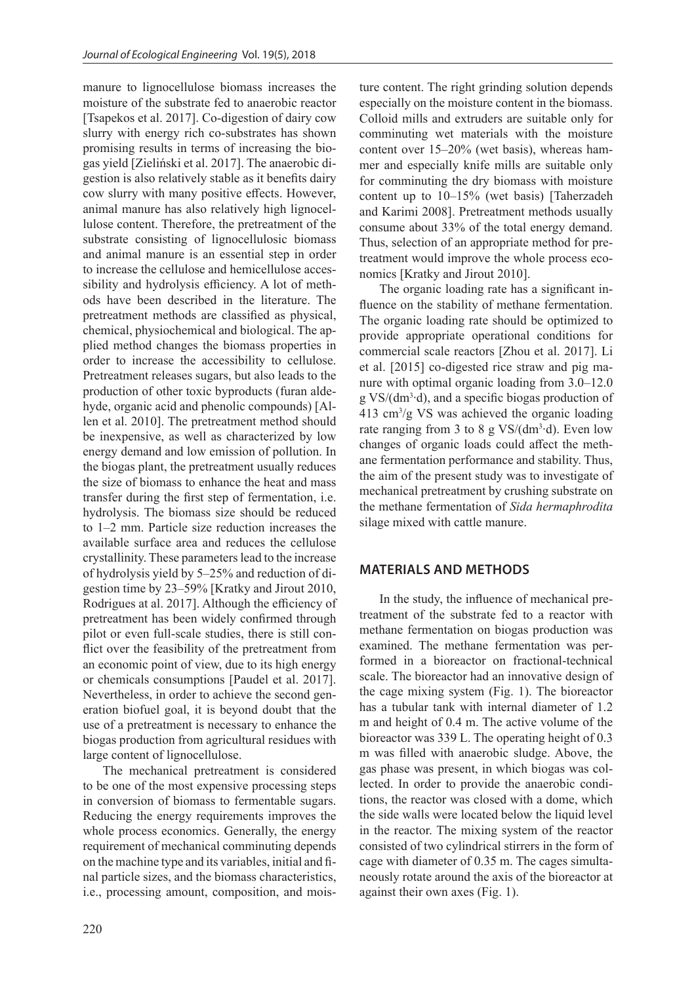manure to lignocellulose biomass increases the moisture of the substrate fed to anaerobic reactor [Tsapekos et al. 2017]. Co-digestion of dairy cow slurry with energy rich co-substrates has shown promising results in terms of increasing the biogas yield [Zieliński et al. 2017]. The anaerobic digestion is also relatively stable as it benefits dairy cow slurry with many positive effects. However, animal manure has also relatively high lignocellulose content. Therefore, the pretreatment of the substrate consisting of lignocellulosic biomass and animal manure is an essential step in order to increase the cellulose and hemicellulose accessibility and hydrolysis efficiency. A lot of methods have been described in the literature. The pretreatment methods are classified as physical, chemical, physiochemical and biological. The applied method changes the biomass properties in order to increase the accessibility to cellulose. Pretreatment releases sugars, but also leads to the production of other toxic byproducts (furan aldehyde, organic acid and phenolic compounds) [Allen et al. 2010]. The pretreatment method should be inexpensive, as well as characterized by low energy demand and low emission of pollution. In the biogas plant, the pretreatment usually reduces the size of biomass to enhance the heat and mass transfer during the first step of fermentation, i.e. hydrolysis. The biomass size should be reduced to 1–2 mm. Particle size reduction increases the available surface area and reduces the cellulose crystallinity. These parameters lead to the increase of hydrolysis yield by 5–25% and reduction of digestion time by 23–59% [Kratky and Jirout 2010, Rodrigues at al. 2017]. Although the efficiency of pretreatment has been widely confirmed through pilot or even full-scale studies, there is still conflict over the feasibility of the pretreatment from an economic point of view, due to its high energy or chemicals consumptions [Paudel et al. 2017]. Nevertheless, in order to achieve the second generation biofuel goal, it is beyond doubt that the use of a pretreatment is necessary to enhance the biogas production from agricultural residues with large content of lignocellulose.

The mechanical pretreatment is considered to be one of the most expensive processing steps in conversion of biomass to fermentable sugars. Reducing the energy requirements improves the whole process economics. Generally, the energy requirement of mechanical comminuting depends on the machine type and its variables, initial and final particle sizes, and the biomass characteristics, i.e., processing amount, composition, and moisture content. The right grinding solution depends especially on the moisture content in the biomass. Colloid mills and extruders are suitable only for comminuting wet materials with the moisture content over 15–20% (wet basis), whereas hammer and especially knife mills are suitable only for comminuting the dry biomass with moisture content up to 10–15% (wet basis) [Taherzadeh and Karimi 2008]. Pretreatment methods usually consume about 33% of the total energy demand. Thus, selection of an appropriate method for pretreatment would improve the whole process economics [Kratky and Jirout 2010].

The organic loading rate has a significant influence on the stability of methane fermentation. The organic loading rate should be optimized to provide appropriate operational conditions for commercial scale reactors [Zhou et al. 2017]. Li et al. [2015] co-digested rice straw and pig manure with optimal organic loading from 3.0–12.0 g VS/(dm<sup>3</sup>⋅d), and a specific biogas production of 413 cm<sup>3</sup> /g VS was achieved the organic loading rate ranging from 3 to 8 g VS/( $dm^3 \cdot d$ ). Even low changes of organic loads could affect the methane fermentation performance and stability. Thus, the aim of the present study was to investigate of mechanical pretreatment by crushing substrate on the methane fermentation of *Sida hermaphrodita*  silage mixed with cattle manure.

## **MATERIALS AND METHODS**

In the study, the influence of mechanical pretreatment of the substrate fed to a reactor with methane fermentation on biogas production was examined. The methane fermentation was performed in a bioreactor on fractional-technical scale. The bioreactor had an innovative design of the cage mixing system (Fig. 1). The bioreactor has a tubular tank with internal diameter of 1.2 m and height of 0.4 m. The active volume of the bioreactor was 339 L. The operating height of 0.3 m was filled with anaerobic sludge. Above, the gas phase was present, in which biogas was collected. In order to provide the anaerobic conditions, the reactor was closed with a dome, which the side walls were located below the liquid level in the reactor. The mixing system of the reactor consisted of two cylindrical stirrers in the form of cage with diameter of 0.35 m. The cages simultaneously rotate around the axis of the bioreactor at against their own axes (Fig. 1).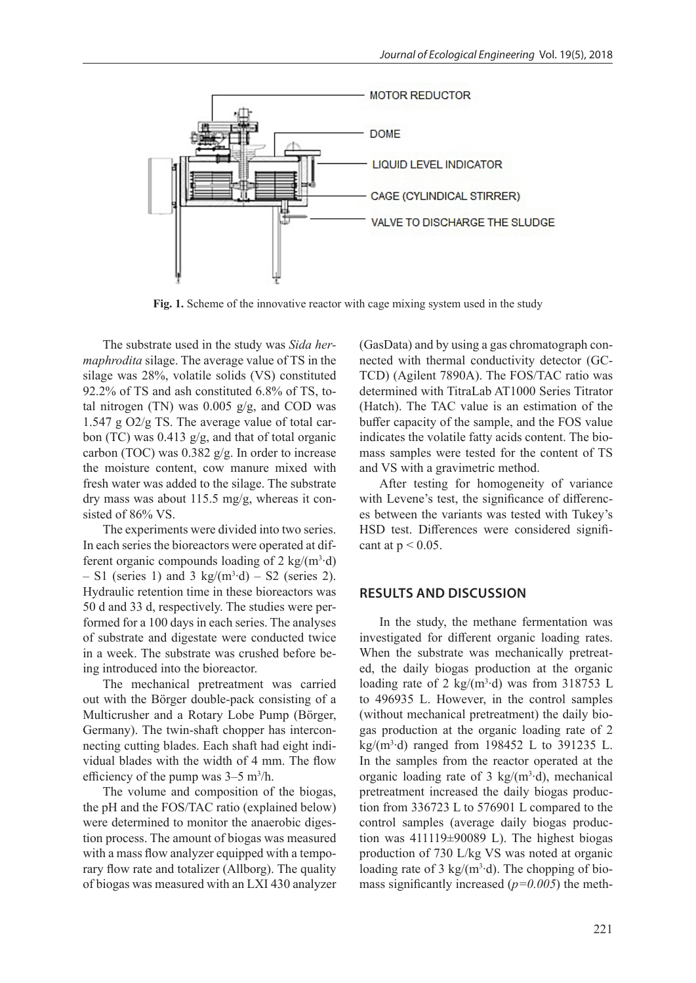

**Fig. 1.** Scheme of the innovative reactor with cage mixing system used in the study

The substrate used in the study was *Sida hermaphrodita* silage. The average value of TS in the silage was 28%, volatile solids (VS) constituted 92.2% of TS and ash constituted 6.8% of TS, total nitrogen (TN) was  $0.005$  g/g, and COD was 1.547 g O2/g TS. The average value of total carbon (TC) was 0.413 g/g, and that of total organic carbon (TOC) was 0.382 g/g. In order to increase the moisture content, cow manure mixed with fresh water was added to the silage. The substrate dry mass was about 115.5 mg/g, whereas it consisted of 86% VS.

The experiments were divided into two series. In each series the bioreactors were operated at different organic compounds loading of 2 kg/(m<sup>3</sup>·d)  $- S1$  (series 1) and 3 kg/(m<sup>3</sup>·d)  $- S2$  (series 2). Hydraulic retention time in these bioreactors was 50 d and 33 d, respectively. The studies were performed for a 100 days in each series. The analyses of substrate and digestate were conducted twice in a week. The substrate was crushed before being introduced into the bioreactor.

The mechanical pretreatment was carried out with the Börger double-pack consisting of a Multicrusher and a Rotary Lobe Pump (Börger, Germany). The twin-shaft chopper has interconnecting cutting blades. Each shaft had eight individual blades with the width of 4 mm. The flow efficiency of the pump was  $3-5$  m<sup>3</sup>/h.

The volume and composition of the biogas, the pH and the FOS/TAC ratio (explained below) were determined to monitor the anaerobic digestion process. The amount of biogas was measured with a mass flow analyzer equipped with a temporary flow rate and totalizer (Allborg). The quality of biogas was measured with an LXI 430 analyzer (GasData) and by using a gas chromatograph connected with thermal conductivity detector (GC-TCD) (Agilent 7890A). The FOS/TAC ratio was determined with TitraLab AT1000 Series Titrator (Hatch). The TAC value is an estimation of the buffer capacity of the sample, and the FOS value indicates the volatile fatty acids content. The biomass samples were tested for the content of TS and VS with a gravimetric method.

After testing for homogeneity of variance with Levene's test, the significance of differences between the variants was tested with Tukey's HSD test. Differences were considered significant at  $p < 0.05$ .

## **RESULTS AND DISCUSSION**

In the study, the methane fermentation was investigated for different organic loading rates. When the substrate was mechanically pretreated, the daily biogas production at the organic loading rate of 2 kg/(m<sup>3</sup>·d) was from 318753 L to 496935 L. However, in the control samples (without mechanical pretreatment) the daily biogas production at the organic loading rate of 2 kg/(m3 ∙d) ranged from 198452 L to 391235 L. In the samples from the reactor operated at the organic loading rate of 3 kg/( $m<sup>3</sup>$ ·d), mechanical pretreatment increased the daily biogas production from 336723 L to 576901 L compared to the control samples (average daily biogas production was 411119±90089 L). The highest biogas production of 730 L/kg VS was noted at organic loading rate of 3 kg/( $m<sup>3</sup>$ ·d). The chopping of biomass significantly increased (*p=0.005*) the meth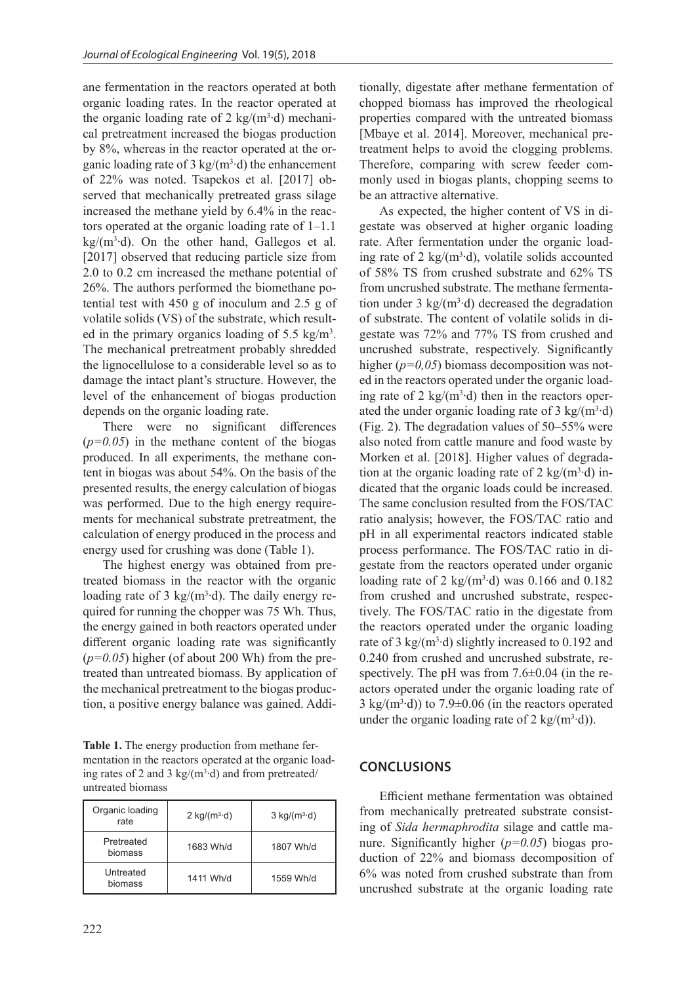ane fermentation in the reactors operated at both organic loading rates. In the reactor operated at the organic loading rate of 2 kg/(m<sup>3</sup>·d) mechanical pretreatment increased the biogas production by 8%, whereas in the reactor operated at the organic loading rate of 3 kg/( $m^3$ ·d) the enhancement of 22% was noted. Tsapekos et al. [2017] observed that mechanically pretreated grass silage increased the methane yield by 6.4% in the reactors operated at the organic loading rate of 1–1.1 kg/(m3 ∙d). On the other hand, Gallegos et al. [2017] observed that reducing particle size from 2.0 to 0.2 cm increased the methane potential of 26%. The authors performed the biomethane potential test with 450 g of inoculum and 2.5 g of volatile solids (VS) of the substrate, which resulted in the primary organics loading of 5.5 kg/m<sup>3</sup>. The mechanical pretreatment probably shredded the lignocellulose to a considerable level so as to damage the intact plant's structure. However, the level of the enhancement of biogas production depends on the organic loading rate.

There were no significant differences  $(p=0.05)$  in the methane content of the biogas produced. In all experiments, the methane content in biogas was about 54%. On the basis of the presented results, the energy calculation of biogas was performed. Due to the high energy requirements for mechanical substrate pretreatment, the calculation of energy produced in the process and energy used for crushing was done (Table 1).

The highest energy was obtained from pretreated biomass in the reactor with the organic loading rate of 3 kg/( $m^3$ ·d). The daily energy required for running the chopper was 75 Wh. Thus, the energy gained in both reactors operated under different organic loading rate was significantly (*p=0.05*) higher (of about 200 Wh) from the pretreated than untreated biomass. By application of the mechanical pretreatment to the biogas production, a positive energy balance was gained. Addi-

**Table 1.** The energy production from methane fermentation in the reactors operated at the organic loading rates of 2 and 3 kg/( $m^3$ ·d) and from pretreated/ untreated biomass

| Organic loading<br>rate | $2 \text{ kg/(m}^3 \text{·d})$ | $3 \text{ kg/(m}^3 \text{·d})$ |
|-------------------------|--------------------------------|--------------------------------|
| Pretreated<br>biomass   | 1683 Wh/d                      | 1807 Wh/d                      |
| Untreated<br>biomass    | 1411 Wh/d                      | 1559 Wh/d                      |

tionally, digestate after methane fermentation of chopped biomass has improved the rheological properties compared with the untreated biomass [Mbaye et al. 2014]. Moreover, mechanical pretreatment helps to avoid the clogging problems. Therefore, comparing with screw feeder commonly used in biogas plants, chopping seems to be an attractive alternative.

As expected, the higher content of VS in digestate was observed at higher organic loading rate. After fermentation under the organic loading rate of 2 kg/( $m^3$ ·d), volatile solids accounted of 58% TS from crushed substrate and 62% TS from uncrushed substrate. The methane fermentation under  $3 \text{ kg/(m}^3 \cdot d)$  decreased the degradation of substrate. The content of volatile solids in digestate was 72% and 77% TS from crushed and uncrushed substrate, respectively. Significantly higher ( $p=0.05$ ) biomass decomposition was noted in the reactors operated under the organic loading rate of 2 kg/( $m<sup>3</sup>$ ·d) then in the reactors operated the under organic loading rate of 3 kg/ $(m^3 \cdot d)$ (Fig. 2). The degradation values of 50–55% were also noted from cattle manure and food waste by Morken et al. [2018]. Higher values of degradation at the organic loading rate of 2 kg/( $m^3$ ·d) indicated that the organic loads could be increased. The same conclusion resulted from the FOS/TAC ratio analysis; however, the FOS/TAC ratio and pH in all experimental reactors indicated stable process performance. The FOS/TAC ratio in digestate from the reactors operated under organic loading rate of 2 kg/( $m^3$ ·d) was 0.166 and 0.182 from crushed and uncrushed substrate, respectively. The FOS/TAC ratio in the digestate from the reactors operated under the organic loading rate of 3  $\text{kg/(m³·d)}$  slightly increased to 0.192 and 0.240 from crushed and uncrushed substrate, respectively. The pH was from  $7.6\pm0.04$  (in the reactors operated under the organic loading rate of  $3 \text{ kg/(m}^3 \cdot d)$ ) to  $7.9 \pm 0.06$  (in the reactors operated under the organic loading rate of 2 kg/(m<sup>3</sup>·d)).

# **CONCLUSIONS**

Efficient methane fermentation was obtained from mechanically pretreated substrate consisting of *Sida hermaphrodita* silage and cattle manure. Significantly higher (*p=0.05*) biogas production of 22% and biomass decomposition of 6% was noted from crushed substrate than from uncrushed substrate at the organic loading rate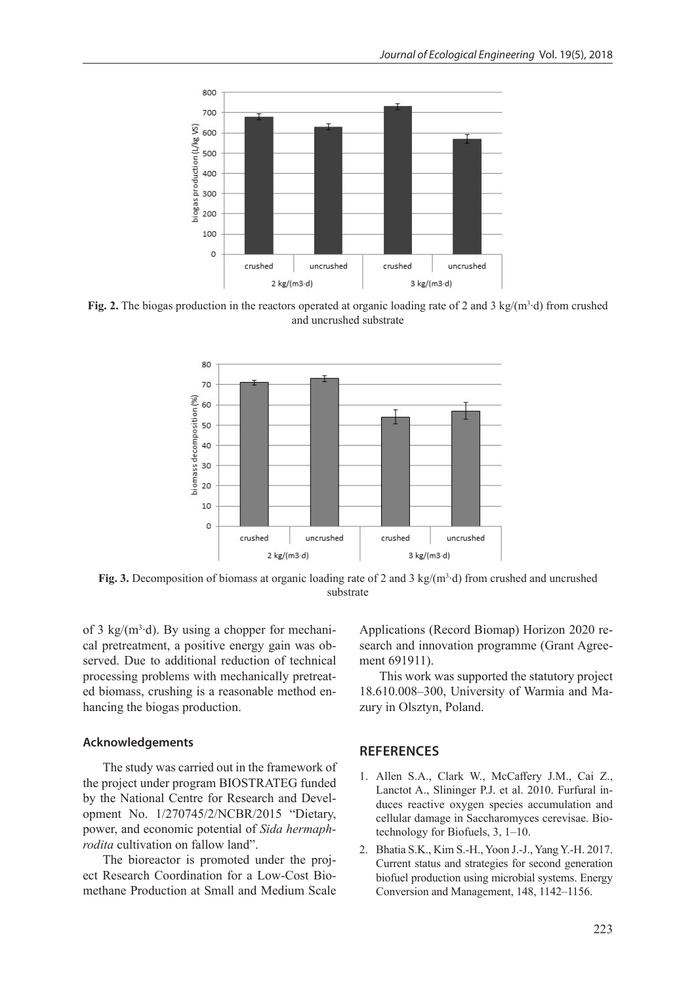

**Fig. 2.** The biogas production in the reactors operated at organic loading rate of 2 and 3 kg/(m<sup>3</sup>⋅d) from crushed and uncrushed substrate



**Fig. 3.** Decomposition of biomass at organic loading rate of 2 and 3 kg/( $m<sup>3</sup>$  d) from crushed and uncrushed substrate

of 3 kg/ $(m<sup>3</sup>·d)$ . By using a chopper for mechanical pretreatment, a positive energy gain was observed. Due to additional reduction of technical processing problems with mechanically pretreated biomass, crushing is a reasonable method enhancing the biogas production.

### **Acknowledgements**

The study was carried out in the framework of the project under program BIOSTRATEG funded by the National Centre for Research and Development No. 1/270745/2/NCBR/2015 "Dietary, power, and economic potential of *Sida hermaphrodita* cultivation on fallow land".

The bioreactor is promoted under the project Research Coordination for a Low-Cost Biomethane Production at Small and Medium Scale

Applications (Record Biomap) Horizon 2020 research and innovation programme (Grant Agreement 691911).

This work was supported the statutory project 18.610.008–300, University of Warmia and Mazury in Olsztyn, Poland.

# **REFERENCES**

- 1. Allen S.A., Clark W., McCaffery J.M., Cai Z., Lanctot A., Slininger P.J. et al. 2010. Furfural induces reactive oxygen species accumulation and cellular damage in Saccharomyces cerevisae. Biotechnology for Biofuels, 3, 1–10.
- 2. Bhatia S.K., Kim S.-H., Yoon J.-J., Yang Y.-H. 2017. Current status and strategies for second generation biofuel production using microbial systems. Energy Conversion and Management, 148, 1142–1156.